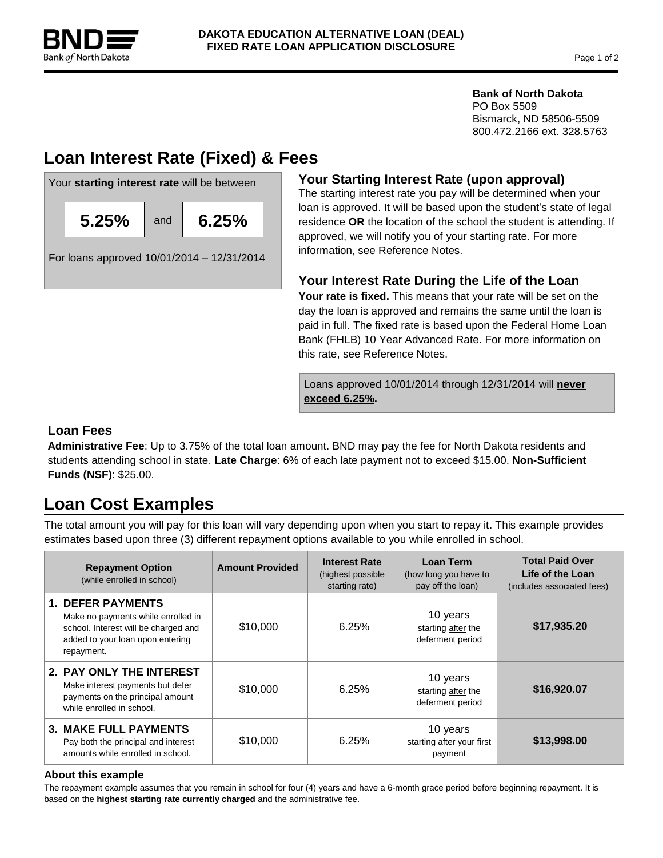

## **Bank of North Dakota**

PO Box 5509 Bismarck, ND 58506-5509 800.472.2166 ext. 328.5763

# **Loan Interest Rate (Fixed) & Fees**



## **Your Starting Interest Rate (upon approval)**

The starting interest rate you pay will be determined when your loan is approved. It will be based upon the student's state of legal residence **OR** the location of the school the student is attending. If approved, we will notify you of your starting rate. For more information, see Reference Notes.

## **Your Interest Rate During the Life of the Loan**

Your rate is fixed. This means that your rate will be set on the day the loan is approved and remains the same until the loan is paid in full. The fixed rate is based upon the Federal Home Loan Bank (FHLB) 10 Year Advanced Rate. For more information on this rate, see Reference Notes.

Loans approved 10/01/2014 through 12/31/2014 will **never exceed 6.25%.**

## **Loan Fees**

**Administrative Fee**: Up to 3.75% of the total loan amount. BND may pay the fee for North Dakota residents and students attending school in state. **Late Charge**: 6% of each late payment not to exceed \$15.00. **Non-Sufficient Funds (NSF)**: \$25.00.

# **Loan Cost Examples**

The total amount you will pay for this loan will vary depending upon when you start to repay it. This example provides estimates based upon three (3) different repayment options available to you while enrolled in school.

| <b>Repayment Option</b><br>(while enrolled in school)                                                                                                    | <b>Amount Provided</b> | <b>Interest Rate</b><br>(highest possible)<br>starting rate) | Loan Term<br>(how long you have to<br>pay off the loan) | <b>Total Paid Over</b><br>Life of the Loan<br>(includes associated fees) |
|----------------------------------------------------------------------------------------------------------------------------------------------------------|------------------------|--------------------------------------------------------------|---------------------------------------------------------|--------------------------------------------------------------------------|
| <b>1. DEFER PAYMENTS</b><br>Make no payments while enrolled in<br>school. Interest will be charged and<br>added to your loan upon entering<br>repayment. | \$10,000               | 6.25%                                                        | 10 years<br>starting after the<br>deferment period      | \$17,935.20                                                              |
| 2. PAY ONLY THE INTEREST<br>Make interest payments but defer<br>payments on the principal amount<br>while enrolled in school.                            | \$10,000               | 6.25%                                                        | 10 years<br>starting after the<br>deferment period      | \$16,920.07                                                              |
| <b>3. MAKE FULL PAYMENTS</b><br>Pay both the principal and interest<br>amounts while enrolled in school.                                                 | \$10,000               | 6.25%                                                        | 10 years<br>starting after your first<br>payment        | \$13,998.00                                                              |

### **About this example**

The repayment example assumes that you remain in school for four (4) years and have a 6-month grace period before beginning repayment. It is based on the **highest starting rate currently charged** and the administrative fee.